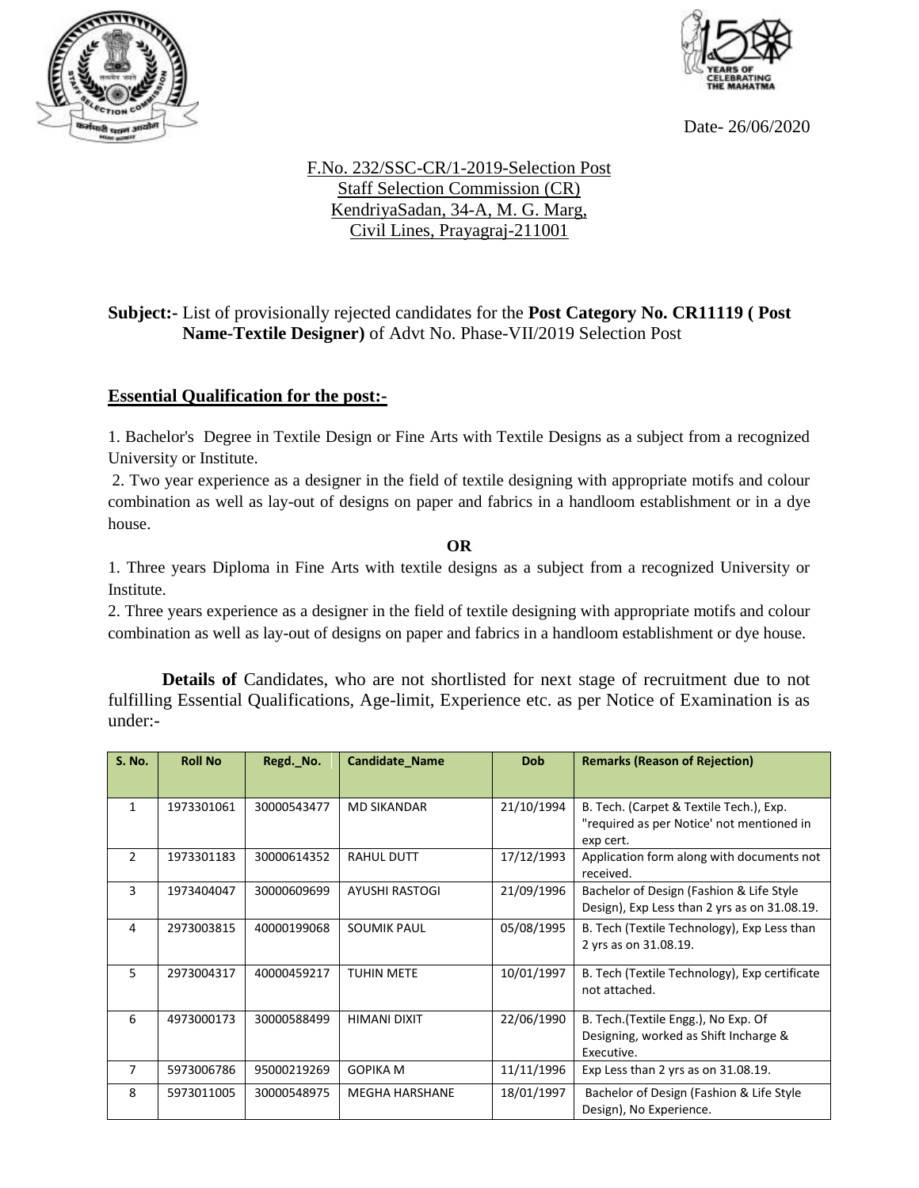



Date- 26/06/2020

## F.No. 232/SSC-CR/1-2019-Selection Post Staff Selection Commission (CR) KendriyaSadan, 34-A, M. G. Marg, Civil Lines, Prayagraj-211001

## **Subject:-** List of provisionally rejected candidates for the **Post Category No. CR11119 ( Post Name-Textile Designer)** of Advt No. Phase-VII/2019 Selection Post

## **Essential Qualification for the post:-**

1. Bachelor's Degree in Textile Design or Fine Arts with Textile Designs as a subject from a recognized University or Institute.

2. Two year experience as a designer in the field of textile designing with appropriate motifs and colour combination as well as lay-out of designs on paper and fabrics in a handloom establishment or in a dye house.

**OR**

1. Three years Diploma in Fine Arts with textile designs as a subject from a recognized University or Institute.

2. Three years experience as a designer in the field of textile designing with appropriate motifs and colour combination as well as lay-out of designs on paper and fabrics in a handloom establishment or dye house.

**Details of** Candidates, who are not shortlisted for next stage of recruitment due to not fulfilling Essential Qualifications, Age-limit, Experience etc. as per Notice of Examination is as under:-

| <b>S. No.</b> | <b>Roll No</b> | Regd. No.   | Candidate_Name        | Dob        | <b>Remarks (Reason of Rejection)</b>                                                              |
|---------------|----------------|-------------|-----------------------|------------|---------------------------------------------------------------------------------------------------|
| 1             | 1973301061     | 30000543477 | <b>MD SIKANDAR</b>    | 21/10/1994 | B. Tech. (Carpet & Textile Tech.), Exp.<br>"required as per Notice' not mentioned in<br>exp cert. |
| 2             | 1973301183     | 30000614352 | <b>RAHUL DUTT</b>     | 17/12/1993 | Application form along with documents not<br>received.                                            |
| 3             | 1973404047     | 30000609699 | <b>AYUSHI RASTOGI</b> | 21/09/1996 | Bachelor of Design (Fashion & Life Style<br>Design), Exp Less than 2 yrs as on 31.08.19.          |
| 4             | 2973003815     | 40000199068 | <b>SOUMIK PAUL</b>    | 05/08/1995 | B. Tech (Textile Technology), Exp Less than<br>2 yrs as on 31.08.19.                              |
| 5.            | 2973004317     | 40000459217 | <b>TUHIN METE</b>     | 10/01/1997 | B. Tech (Textile Technology), Exp certificate<br>not attached.                                    |
| 6             | 4973000173     | 30000588499 | <b>HIMANI DIXIT</b>   | 22/06/1990 | B. Tech. (Textile Engg.), No Exp. Of<br>Designing, worked as Shift Incharge &<br>Executive.       |
| 7             | 5973006786     | 95000219269 | <b>GOPIKA M</b>       | 11/11/1996 | Exp Less than 2 yrs as on 31.08.19.                                                               |
| 8             | 5973011005     | 30000548975 | <b>MEGHA HARSHANE</b> | 18/01/1997 | Bachelor of Design (Fashion & Life Style<br>Design), No Experience.                               |